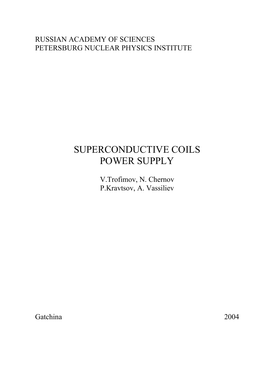# RUSSIAN ACADEMY OF SCIENCES PETERSBURG NUCLEAR PHYSICS INSTITUTE

# SUPERCONDUCTIVE COILS POWER SUPPLY

V.Trofimov, N. Chernov P.Kravtsov, A. Vassiliev

Gatchina 2004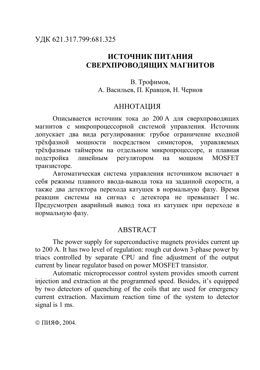# **ИСТОЧНИК ПИТАНИЯ СВЕРХПРОВОДЯЩИХ МАГНИТОВ**

В. Трофимов, А. Васильев, П. Кравцов, Н. Чернов

#### АННОТАЦИЯ

Описывается источник тока до 200 А для сверхпроводящих магнитов с микропроцессорной системой управления. Источник допускает два вида регулирования: грубое ограничение входной трёхфазной мощности посредством симисторов, управляемых трёхфазным таймером на отдельном микропроцессоре, и плавная подстройка линейным регулятором на мощном MOSFET транзисторе.

Автоматическая система управления источником включает в себя режимы плавного ввода-вывода тока на заданной скорости, а также два детектора перехода катушек в нормальную фазу. Время реакции системы на сигнал с детектора не превышает 1 мс. Предусмотрен аварийный вывод тока из катушек при переходе в нормальную фазу.

#### ABSTRACT

The power supply for superconductive magnets provides current up to 200 A. It has two level of regulation: rough cut down 3-phase power by triacs controlled by separate CPU and fine adjustment of the output current by linear regulator based on power MOSFET transistor.

Automatic microprocessor control system provides smooth current injection and extraction at the programmed speed. Besides, it's equipped by two detectors of quenching of the coils that are used for emergency current extraction. Maximum reaction time of the system to detector signal is 1 ms.

ã ПИЯФ, 2004.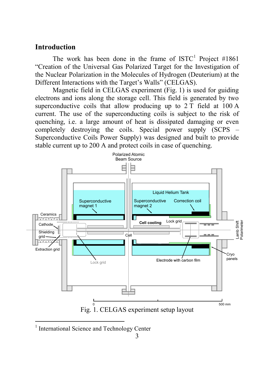## **Introduction**

The work has been done in the frame of  $ISTC<sup>1</sup>$  Project #1861 "Creation of the Universal Gas Polarized Target for the Investigation of the Nuclear Polarization in the Molecules of Hydrogen (Deuterium) at the Different Interactions with the Target's Walls" (CELGAS).

Magnetic field in CELGAS experiment (Fig. 1) is used for guiding electrons and ions along the storage cell. This field is generated by two superconductive coils that allow producing up to  $2\bar{T}$  field at  $100\bar{A}$ current. The use of the superconducting coils is subject to the risk of quenching, i.e. a large amount of heat is dissipated damaging or even completely destroying the coils. Special power supply (SCPS – Superconductive Coils Power Supply) was designed and built to provide stable current up to 200 A and protect coils in case of quenching.



<sup>1</sup> International Science and Technology Center

 $\overline{a}$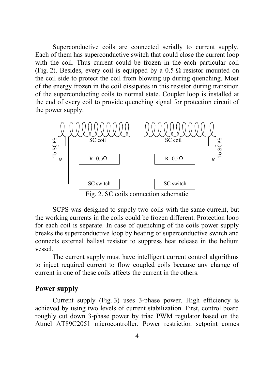Superconductive coils are connected serially to current supply. Each of them has superconductive switch that could close the current loop with the coil. Thus current could be frozen in the each particular coil (Fig. 2). Besides, every coil is equipped by a  $0.5 \Omega$  resistor mounted on the coil side to protect the coil from blowing up during quenching. Most of the energy frozen in the coil dissipates in this resistor during transition of the superconducting coils to normal state. Coupler loop is installed at the end of every coil to provide quenching signal for protection circuit of the power supply.



Fig. 2. SC coils connection schematic

SCPS was designed to supply two coils with the same current, but the working currents in the coils could be frozen different. Protection loop for each coil is separate. In case of quenching of the coils power supply breaks the superconductive loop by heating of superconductive switch and connects external ballast resistor to suppress heat release in the helium vessel.

The current supply must have intelligent current control algorithms to inject required current to flow coupled coils because any change of current in one of these coils affects the current in the others.

#### **Power supply**

Current supply (Fig. 3) uses 3-phase power. High efficiency is achieved by using two levels of current stabilization. First, control board roughly cut down 3-phase power by triac PWM regulator based on the Atmel AT89C2051 microcontroller. Power restriction setpoint comes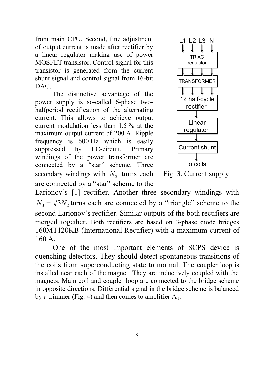from main CPU. Second, fine adjustment of output current is made after rectifier by a linear regulator making use of power MOSFET transistor. Control signal for this transistor is generated from the current shunt signal and control signal from 16-bit DAC.

The distinctive advantage of the power supply is so-called 6-phase twohalfperiod rectification of the alternating current. This allows to achieve output current modulation less than 1.5 % at the maximum output current of 200 A. Ripple frequency is 600 Hz which is easily suppressed by LC-circuit. Primary windings of the power transformer are connected by a "star" scheme. Three secondary windings with  $N_2$  turns each are connected by a "star" scheme to the



Fig. 3. Current supply

Larionov's [1] rectifier. Another three secondary windings with  $N_3 = \sqrt{3} N_2$  turns each are connected by a "triangle" scheme to the second Larionov's rectifier. Similar outputs of the both rectifiers are merged together. Both rectifiers are based on 3-phase diode bridges 160MT120KB (International Rectifier) with a maximum current of 160 A.

One of the most important elements of SCPS device is quenching detectors. They should detect spontaneous transitions of the coils from superconducting state to normal. The coupler loop is installed near each of the magnet. They are inductively coupled with the magnets. Main coil and coupler loop are connected to the bridge scheme in opposite directions. Differential signal in the bridge scheme is balanced by a trimmer (Fig. 4) and then comes to amplifier  $A_1$ .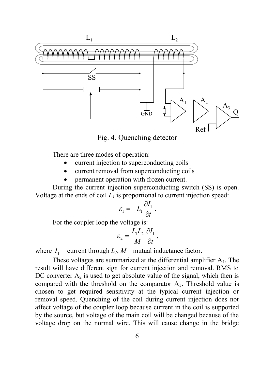

Fig. 4. Quenching detector

There are three modes of operation:

- current injection to superconducting coils
- current removal from superconducting coils
- permanent operation with frozen current.

During the current injection superconducting switch (SS) is open. Voltage at the ends of coil  $L_l$  is proportional to current injection speed:

$$
\varepsilon_1 = -L_1 \frac{\partial I_1}{\partial t}.
$$

For the coupler loop the voltage is:

$$
\varepsilon_2 = \frac{L_1 L_2}{M} \frac{\partial I_1}{\partial t},
$$

where  $I_1$  – current through  $L_1$ ,  $M$  – mutual inductance factor.

These voltages are summarized at the differential amplifier  $A_1$ . The result will have different sign for current injection and removal. RMS to DC converter  $A_2$  is used to get absolute value of the signal, which then is compared with the threshold on the comparator  $A_3$ . Threshold value is chosen to get required sensitivity at the typical current injection or removal speed. Quenching of the coil during current injection does not affect voltage of the coupler loop because current in the coil is supported by the source, but voltage of the main coil will be changed because of the voltage drop on the normal wire. This will cause change in the bridge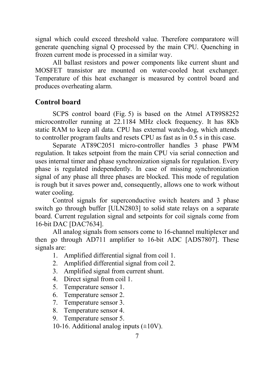signal which could exceed threshold value. Therefore comparatore will generate quenching signal Q processed by the main CPU. Quenching in frozen current mode is processed in a similar way.

All ballast resistors and power components like current shunt and MOSFET transistor are mounted on water-cooled heat exchanger. Temperature of this heat exchanger is measured by control board and produces overheating alarm.

## **Control board**

SCPS control board (Fig. 5) is based on the Atmel AT89S8252 microcontroller running at 22.1184 MHz clock frequency. It has 8Kb static RAM to keep all data. CPU has external watch-dog, which attends to controller program faults and resets CPU as fast as in 0.5 s in this case.

Separate AT89C2051 micro-controller handles 3 phase PWM regulation. It takes setpoint from the main CPU via serial connection and uses internal timer and phase synchronization signals for regulation. Every phase is regulated independently. In case of missing synchronization signal of any phase all three phases are blocked. This mode of regulation is rough but it saves power and, consequently, allows one to work without water cooling.

Control signals for superconductive switch heaters and 3 phase switch go through buffer [ULN2803] to solid state relays on a separate board. Current regulation signal and setpoints for coil signals come from 16-bit DAC [DAC7634].

All analog signals from sensors come to 16-channel multiplexer and then go through AD711 amplifier to 16-bit ADC [ADS7807]. These signals are:

- 1. Amplified differential signal from coil 1.
- 2. Amplified differential signal from coil 2.
- 3. Amplified signal from current shunt.
- 4. Direct signal from coil 1.
- 5. Temperature sensor 1.
- 6. Temperature sensor 2.
- 7. Temperature sensor 3.
- 8. Temperature sensor 4.
- 9. Temperature sensor 5.
- 10-16. Additional analog inputs  $(\pm 10V)$ .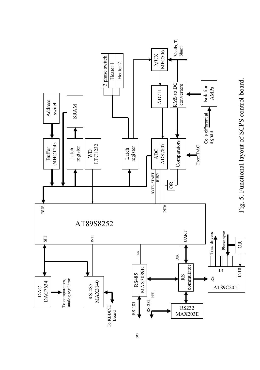

8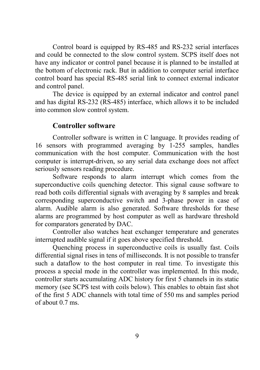Control board is equipped by RS-485 and RS-232 serial interfaces and could be connected to the slow control system. SCPS itself does not have any indicator or control panel because it is planned to be installed at the bottom of electronic rack. But in addition to computer serial interface control board has special RS-485 serial link to connect external indicator and control panel.

The device is equipped by an external indicator and control panel and has digital RS-232 (RS-485) interface, which allows it to be included into common slow control system.

#### **Controller software**

Controller software is written in C language. It provides reading of 16 sensors with programmed averaging by 1-255 samples, handles communication with the host computer. Communication with the host computer is interrupt-driven, so any serial data exchange does not affect seriously sensors reading procedure.

Software responds to alarm interrupt which comes from the superconductive coils quenching detector. This signal cause software to read both coils differential signals with averaging by 8 samples and break corresponding superconductive switch and 3-phase power in case of alarm. Audible alarm is also generated. Software thresholds for these alarms are programmed by host computer as well as hardware threshold for comparators generated by DAC.

Controller also watches heat exchanger temperature and generates interrupted audible signal if it goes above specified threshold.

Quenching process in superconductive coils is usually fast. Coils differential signal rises in tens of milliseconds. It is not possible to transfer such a dataflow to the host computer in real time. To investigate this process a special mode in the controller was implemented. In this mode, controller starts accumulating ADC history for first 5 channels in its static memory (see SCPS test with coils below). This enables to obtain fast shot of the first 5 ADC channels with total time of 550 ms and samples period of about 0.7 ms.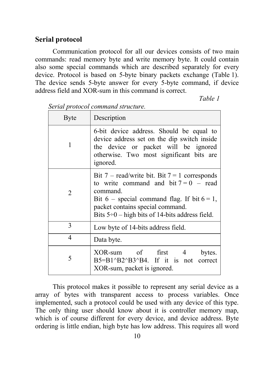#### **Serial protocol**

Communication protocol for all our devices consists of two main commands: read memory byte and write memory byte. It could contain also some special commands which are described separately for every device. Protocol is based on 5-byte binary packets exchange (Table 1). The device sends 5-byte answer for every 5-byte command, if device address field and XOR-sum in this command is correct.

*Table 1* 

| <b>Byte</b> | Description                                                                                                                                                                                                                                        |  |  |  |  |
|-------------|----------------------------------------------------------------------------------------------------------------------------------------------------------------------------------------------------------------------------------------------------|--|--|--|--|
| 1           | 6-bit device address. Should be equal to<br>device address set on the dip switch inside<br>the device or packet will be ignored<br>otherwise. Two most significant bits are<br>ignored.                                                            |  |  |  |  |
| 2           | Bit 7 – read/write bit. Bit 7 = 1 corresponds<br>to write command and bit $7 = 0$ – read<br>command.<br>Bit 6 – special command flag. If bit $6 = 1$ ,<br>packet contains special command.<br>Bits $5\div 0$ – high bits of 14-bits address field. |  |  |  |  |
| 3           | Low byte of 14-bits address field.                                                                                                                                                                                                                 |  |  |  |  |
| 4           | Data byte.                                                                                                                                                                                                                                         |  |  |  |  |
| 5           | XOR-sum of first 4<br>bytes.<br>$B5 = B1^{8}B2^{8}B3^{8}B4$ . If it is not correct<br>XOR-sum, packet is ignored.                                                                                                                                  |  |  |  |  |

*Serial protocol command structure.* 

This protocol makes it possible to represent any serial device as a array of bytes with transparent access to process variables. Once implemented, such a protocol could be used with any device of this type. The only thing user should know about it is controller memory map, which is of course different for every device, and device address. Byte ordering is little endian, high byte has low address. This requires all word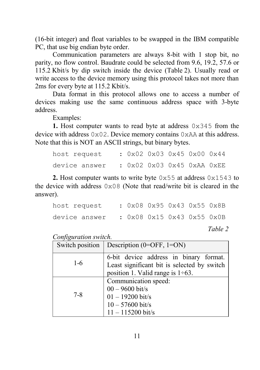(16-bit integer) and float variables to be swapped in the IBM compatible PC, that use big endian byte order.

Communication parameters are always 8-bit with 1 stop bit, no parity, no flow control. Baudrate could be selected from 9.6, 19.2, 57.6 or 115.2 Kbit/s by dip switch inside the device (Table 2). Usually read or write access to the device memory using this protocol takes not more than 2ms for every byte at 115.2 Kbit/s.

Data format in this protocol allows one to access a number of devices making use the same continuous address space with 3-byte address.

Examples:

**1.** Host computer wants to read byte at address 0x345 from the device with address 0x02. Device memory contains 0xAA at this address. Note that this is NOT an ASCII strings, but binary bytes.

| host request  |  |  | : 0x02 0x03 0x45 0x00 0x44 |  |
|---------------|--|--|----------------------------|--|
| device answer |  |  | : 0x02 0x03 0x45 0xAA 0xEE |  |

**2.** Host computer wants to write byte 0x55 at address 0x1543 to the device with address 0x08 (Note that read/write bit is cleared in the answer).

| device answer | : 0x08 0x15 0x43 0x55 0x0B |  |  |  |
|---------------|----------------------------|--|--|--|
| host request  | : 0x08 0x95 0x43 0x55 0x8B |  |  |  |

*Table 2* 

*Configuration switch.* 

| Switch position | Description $(0=OFF, 1=ON)$                                                                                                      |
|-----------------|----------------------------------------------------------------------------------------------------------------------------------|
| $1 - 6$         | 6-bit device address in binary format.<br>Least significant bit is selected by switch<br>position 1. Valid range is $1\div 63$ . |
| $7 - 8$         | Communication speed:<br>$00 - 9600$ bit/s<br>$01 - 19200$ bit/s<br>$10 - 57600$ bit/s<br>$11 - 115200$ bit/s                     |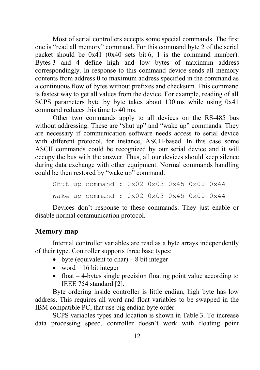Most of serial controllers accepts some special commands. The first one is "read all memory" command. For this command byte 2 of the serial packet should be 0x41 (0x40 sets bit 6, 1 is the command number). Bytes 3 and 4 define high and low bytes of maximum address correspondingly. In response to this command device sends all memory contents from address 0 to maximum address specified in the command as a continuous flow of bytes without prefixes and checksum. This command is fastest way to get all values from the device. For example, reading of all SCPS parameters byte by byte takes about 130 ms while using 0x41 command reduces this time to 40 ms.

Other two commands apply to all devices on the RS-485 bus without addressing. These are "shut up" and "wake up" commands. They are necessary if communication software needs access to serial device with different protocol, for instance, ASCII-based. In this case some ASCII commands could be recognized by our serial device and it will occupy the bus with the answer. Thus, all our devices should keep silence during data exchange with other equipment. Normal commands handling could be then restored by "wake up" command.

Shut up command : 0x02 0x03 0x45 0x00 0x44 Wake up command : 0x02 0x03 0x45 0x00 0x44

Devices don't response to these commands. They just enable or disable normal communication protocol.

# **Memory map**

Internal controller variables are read as a byte arrays independently of their type. Controller supports three base types:

- byte (equivalent to char) 8 bit integer
- word  $-16$  bit integer
- $\bullet$  float  $-4$ -bytes single precision floating point value according to IEEE 754 standard [2].

Byte ordering inside controller is little endian, high byte has low address. This requires all word and float variables to be swapped in the IBM compatible PC, that use big endian byte order.

SCPS variables types and location is shown in Table 3. To increase data processing speed, controller doesn't work with floating point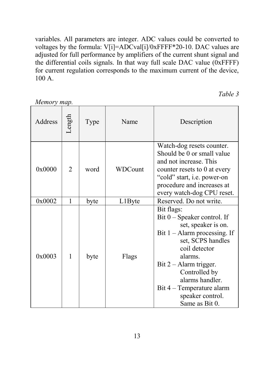variables. All parameters are integer. ADC values could be converted to voltages by the formula: V[i]=ADCval[i]/0xFFFF\*20-10. DAC values are adjusted for full performance by amplifiers of the current shunt signal and the differential coils signals. In that way full scale DAC value (0xFFFF) for current regulation corresponds to the maximum current of the device, 100 A.

*Memory map.* 

*Table 3* 

| Address | Length | Type | Name    | Description                                                                                                                                                                                                                                                                            |
|---------|--------|------|---------|----------------------------------------------------------------------------------------------------------------------------------------------------------------------------------------------------------------------------------------------------------------------------------------|
| 0x0000  | 2      | word | WDCount | Watch-dog resets counter.<br>Should be 0 or small value<br>and not increase. This<br>counter resets to 0 at every<br>"cold" start, <i>i.e.</i> power-on<br>procedure and increases at<br>every watch-dog CPU reset.                                                                    |
| 0x0002  | 1      | byte | L1Byte  | Reserved. Do not write.                                                                                                                                                                                                                                                                |
| 0x0003  | 1      | byte | Flags   | Bit flags:<br>$Bit 0 - Speaker control.$ If<br>set, speaker is on.<br>Bit $1 -$ Alarm processing. If<br>set, SCPS handles<br>coil detector<br>alarms.<br>Bit 2 - Alarm trigger.<br>Controlled by<br>alarms handler.<br>Bit 4 – Temperature alarm<br>speaker control.<br>Same as Bit 0. |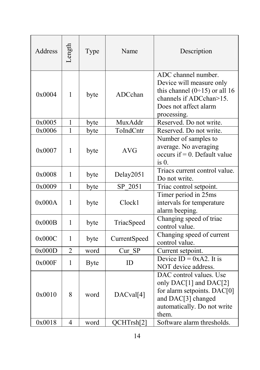| <b>Address</b>   | Length              | Type         | Name                    | Description                                                                                                                                                                  |
|------------------|---------------------|--------------|-------------------------|------------------------------------------------------------------------------------------------------------------------------------------------------------------------------|
| 0x0004           | $\mathbf{1}$        | byte         | ADCchan                 | ADC channel number.<br>Device will measure only<br>this channel $(0\div 15)$ or all 16<br>channels if ADCchan>15.<br>Does not affect alarm<br>processing.                    |
| 0x0005           | $\mathbf{1}$        | byte         | MuxAddr                 | Reserved. Do not write.                                                                                                                                                      |
| 0x0006           | 1                   | byte         | ToIndCntr               | Reserved. Do not write.                                                                                                                                                      |
| 0x0007           | $\mathbf{1}$        | byte         | <b>AVG</b>              | Number of samples to<br>average. No averaging<br>occurs if $= 0$ . Default value<br>$is0$ .                                                                                  |
| 0x0008           | 1                   | byte         | Delay2051               | Triacs current control value.<br>Do not write.                                                                                                                               |
| 0x0009           | 1                   | byte         | SP 2051                 | Triac control setpoint.                                                                                                                                                      |
| 0x000A           | 1                   | byte         | Clock1                  | Timer period in 25ms<br>intervals for temperature<br>alarm beeping.                                                                                                          |
| 0x000B           | $\mathbf{1}$        | byte         | TriacSpeed              | Changing speed of triac<br>control value.                                                                                                                                    |
| 0x000C           | $\mathbf{1}$        | byte         | CurrentSpeed            | Changing speed of current<br>control value.                                                                                                                                  |
| 0x000D           | $\overline{2}$      | word         | Cur SP                  | Current setpoint.                                                                                                                                                            |
| 0x000F           | 1                   | <b>Byte</b>  | ID                      | Device $ID = 0xA2$ . It is<br>NOT device address.                                                                                                                            |
| 0x0010<br>0x0018 | 8<br>$\overline{4}$ | word<br>word | DACval[4]<br>QCHTrsh[2] | DAC control values. Use<br>only DAC[1] and DAC[2]<br>for alarm setpoints. DAC[0]<br>and DAC[3] changed<br>automatically. Do not write<br>them.<br>Software alarm thresholds. |
|                  |                     |              |                         |                                                                                                                                                                              |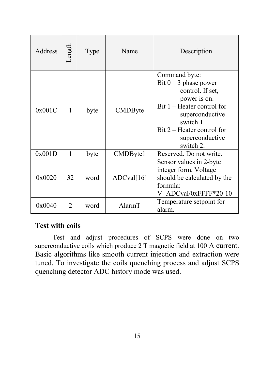| Address | Length | Type | Name       | Description                                                                                                                                                                                                |
|---------|--------|------|------------|------------------------------------------------------------------------------------------------------------------------------------------------------------------------------------------------------------|
| 0x001C  | 1      | byte | CMDByte    | Command byte:<br>Bit $0 - 3$ phase power<br>control. If set,<br>power is on.<br>$Bit 1 - Heater control for$<br>superconductive<br>switch 1.<br>Bit 2 – Heater control for<br>superconductive<br>switch 2. |
| 0x001D  | 1      | byte | CMDByte1   | Reserved. Do not write.                                                                                                                                                                                    |
| 0x0020  | 32     | word | ADCval[16] | Sensor values in 2-byte<br>integer form. Voltage<br>should be calculated by the<br>formula:<br>V=ADCval/0xFFFF*20-10                                                                                       |
| 0x0040  | 2      | word | AlarmT     | Temperature setpoint for<br>alarm.                                                                                                                                                                         |

# **Test with coils**

Test and adjust procedures of SCPS were done on two superconductive coils which produce 2 T magnetic field at 100 A current. Basic algorithms like smooth current injection and extraction were tuned. To investigate the coils quenching process and adjust SCPS quenching detector ADC history mode was used.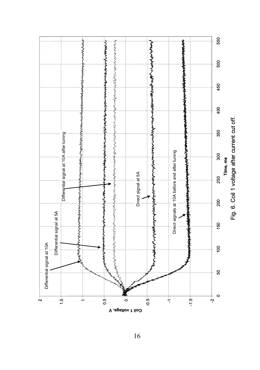